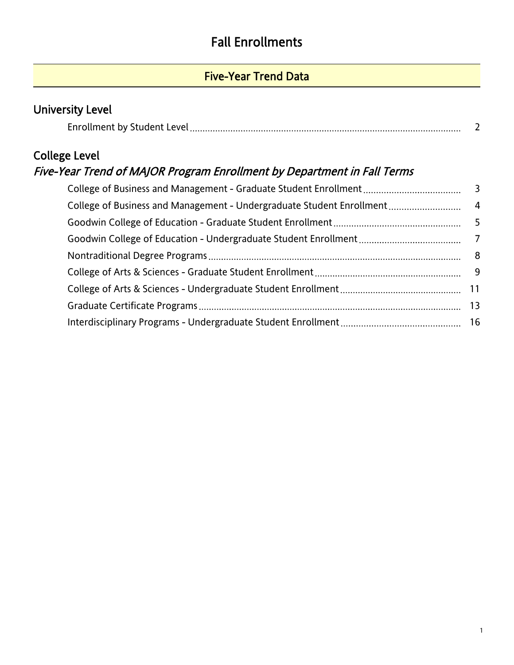#### Five-Year Trend Data

<span id="page-0-0"></span>

| University Level     |  |
|----------------------|--|
|                      |  |
| <b>College Level</b> |  |

### Five-Year Trend of MAJOR Program Enrollment by Department in Fall Terms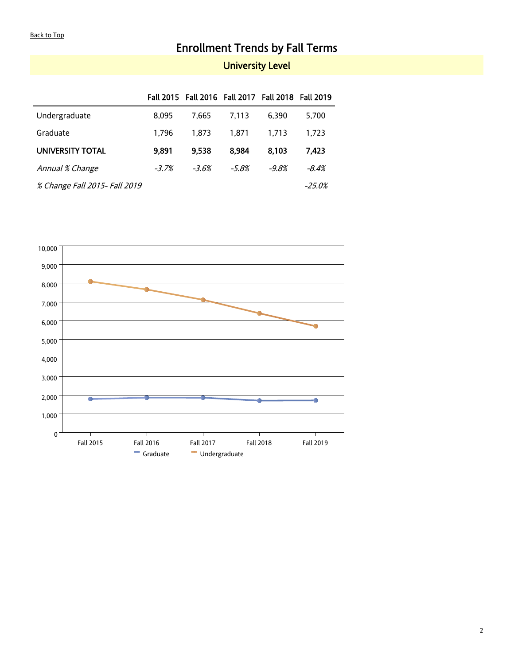#### <span id="page-1-0"></span>[Back to Top](#page-0-0)

# Enrollment Trends by Fall Terms

#### University Level

|                               |         | Fall 2015 Fall 2016 Fall 2017 Fall 2018 Fall 2019 |         |         |         |
|-------------------------------|---------|---------------------------------------------------|---------|---------|---------|
| Undergraduate                 | 8.095   | 7.665                                             | 7.113   | 6.390   | 5,700   |
| Graduate                      | 1.796   | 1.873                                             | 1.871   | 1.713   | 1.723   |
| <b>UNIVERSITY TOTAL</b>       | 9.891   | 9,538                                             | 8.984   | 8.103   | 7.423   |
| Annual % Change               | $-3.7%$ | $-3.6%$                                           | $-5.8%$ | $-9.8%$ | $-8.4%$ |
| % Change Fall 2015- Fall 2019 |         |                                                   |         |         | -25.0%  |

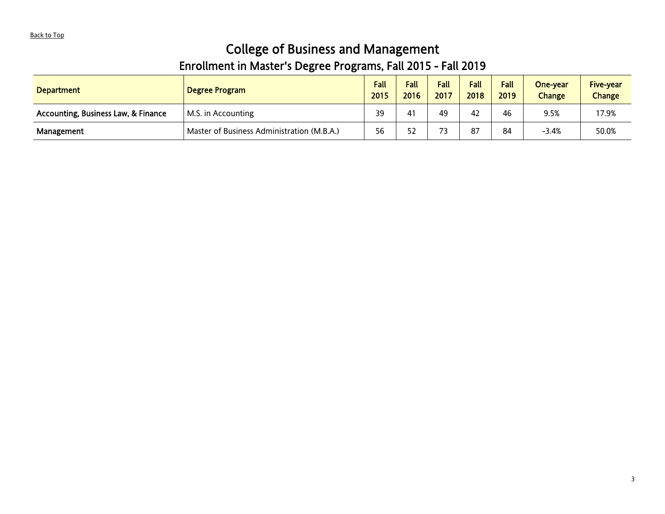# College of Business and Management

<span id="page-2-0"></span>

| <b>Department</b>                              | Degree Program                             | <b>Fall</b><br>2015 | Fall<br>2016 | <b>Fall</b><br>2017 | <b>Fall</b><br>2018 | Fall<br>2019 | One-year<br><b>Change</b> | <b>Five-year</b><br><b>Change</b> |
|------------------------------------------------|--------------------------------------------|---------------------|--------------|---------------------|---------------------|--------------|---------------------------|-----------------------------------|
| <b>Accounting, Business Law, &amp; Finance</b> | M.S. in Accounting                         | 39                  |              | 49                  | 42                  | 46           | 9.5%                      | 17.9%                             |
| Management                                     | Master of Business Administration (M.B.A.) | 56                  | 52           |                     | 87                  | 84           | $-3.4%$                   | 50.0%                             |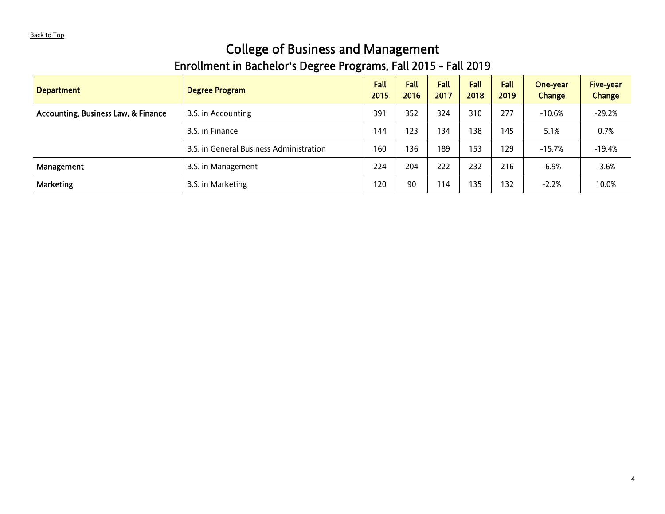#### College of Business and Management Enrollment in Bachelor's Degree Programs, Fall 2015 - Fall 2019

<span id="page-3-0"></span>

| <b>Department</b>                              | <b>Degree Program</b>                   | <b>Fall</b><br>2015 | <b>Fall</b><br>2016 | <b>Fall</b><br>2017 | <b>Fall</b><br>2018 | <b>Fall</b><br>2019 | One-year<br><b>Change</b> | <b>Five-year</b><br><b>Change</b> |
|------------------------------------------------|-----------------------------------------|---------------------|---------------------|---------------------|---------------------|---------------------|---------------------------|-----------------------------------|
| <b>Accounting, Business Law, &amp; Finance</b> | B.S. in Accounting                      | 391                 | 352                 | 324                 | 310                 | 277                 | $-10.6%$                  | $-29.2%$                          |
|                                                | B.S. in Finance                         | 144                 | 123                 | 134                 | 138                 | 145                 | 5.1%                      | 0.7%                              |
|                                                | B.S. in General Business Administration | 160                 | 136                 | 189                 | 153                 | 129                 | $-15.7%$                  | $-19.4%$                          |
| Management                                     | B.S. in Management                      | 224                 | 204                 | 222                 | 232                 | 216                 | $-6.9%$                   | $-3.6%$                           |
| <b>Marketing</b>                               | B.S. in Marketing                       | 120                 | 90                  | 114                 | 135                 | 132                 | $-2.2%$                   | 10.0%                             |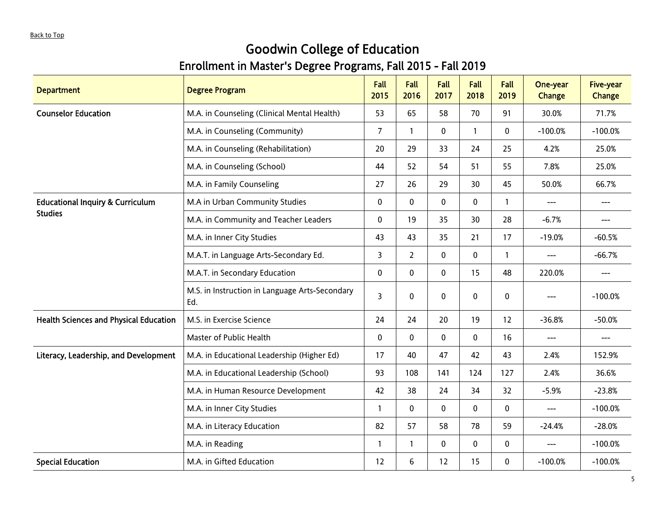# Goodwin College of Education

<span id="page-4-0"></span>

| <b>Department</b>                             | <b>Degree Program</b>                                 | <b>Fall</b><br>2015 | <b>Fall</b><br>2016 | <b>Fall</b><br>2017 | Fall<br>2018 | <b>Fall</b><br>2019 | One-year<br><b>Change</b>           | <b>Five-year</b><br><b>Change</b> |
|-----------------------------------------------|-------------------------------------------------------|---------------------|---------------------|---------------------|--------------|---------------------|-------------------------------------|-----------------------------------|
| <b>Counselor Education</b>                    | M.A. in Counseling (Clinical Mental Health)           | 53                  | 65                  | 58                  | 70           | 91                  | 30.0%                               | 71.7%                             |
|                                               | M.A. in Counseling (Community)                        | $\overline{7}$      | $\mathbf{1}$        | 0                   | $\mathbf{1}$ | $\mathbf{0}$        | $-100.0%$                           | $-100.0%$                         |
|                                               | M.A. in Counseling (Rehabilitation)                   | 20                  | 29                  | 33                  | 24           | 25                  | 4.2%                                | 25.0%                             |
|                                               | M.A. in Counseling (School)                           | 44                  | 52                  | 54                  | 51           | 55                  | 7.8%                                | 25.0%                             |
|                                               | M.A. in Family Counseling                             | 27                  | 26                  | 29                  | 30           | 45                  | 50.0%                               | 66.7%                             |
| <b>Educational Inquiry &amp; Curriculum</b>   | M.A in Urban Community Studies                        | 0                   | $\mathbf{0}$        | 0                   | 0            | $\mathbf{1}$        | $\hspace{0.05cm}---\hspace{0.05cm}$ | $\qquad \qquad \textbf{---}$      |
| <b>Studies</b>                                | M.A. in Community and Teacher Leaders                 | $\mathbf 0$         | 19                  | 35                  | 30           | 28                  | $-6.7%$                             | ---                               |
|                                               | M.A. in Inner City Studies                            | 43                  | 43                  | 35                  | 21           | 17                  | $-19.0%$                            | $-60.5%$                          |
|                                               | M.A.T. in Language Arts-Secondary Ed.                 | 3                   | $\overline{2}$      | 0                   | 0            | $\mathbf{1}$        | $\hspace{0.05cm}---\hspace{0.05cm}$ | $-66.7%$                          |
|                                               | M.A.T. in Secondary Education                         | $\mathbf 0$         | $\mathbf 0$         | $\mathbf 0$         | 15           | 48                  | 220.0%                              | ---                               |
|                                               | M.S. in Instruction in Language Arts-Secondary<br>Ed. | 3                   | 0                   | 0                   | 0            | 0                   |                                     | $-100.0%$                         |
| <b>Health Sciences and Physical Education</b> | M.S. in Exercise Science                              | 24                  | 24                  | 20                  | 19           | 12                  | $-36.8%$                            | $-50.0%$                          |
|                                               | Master of Public Health                               | $\mathbf 0$         | $\mathbf 0$         | $\mathbf 0$         | 0            | 16                  | $---$                               |                                   |
| Literacy, Leadership, and Development         | M.A. in Educational Leadership (Higher Ed)            | 17                  | 40                  | 47                  | 42           | 43                  | 2.4%                                | 152.9%                            |
|                                               | M.A. in Educational Leadership (School)               | 93                  | 108                 | 141                 | 124          | 127                 | 2.4%                                | 36.6%                             |
|                                               | M.A. in Human Resource Development                    | 42                  | 38                  | 24                  | 34           | 32                  | $-5.9%$                             | $-23.8%$                          |
|                                               | M.A. in Inner City Studies                            | $\mathbf{1}$        | 0                   | 0                   | 0            | 0                   | $---$                               | $-100.0%$                         |
|                                               | M.A. in Literacy Education                            | 82                  | 57                  | 58                  | 78           | 59                  | $-24.4%$                            | $-28.0%$                          |
|                                               | M.A. in Reading                                       | $\mathbf{1}$        | $\mathbf{1}$        | $\mathbf 0$         | 0            | 0                   | $---$                               | $-100.0%$                         |
| <b>Special Education</b>                      | M.A. in Gifted Education                              | 12                  | 6                   | 12                  | 15           | 0                   | $-100.0%$                           | $-100.0%$                         |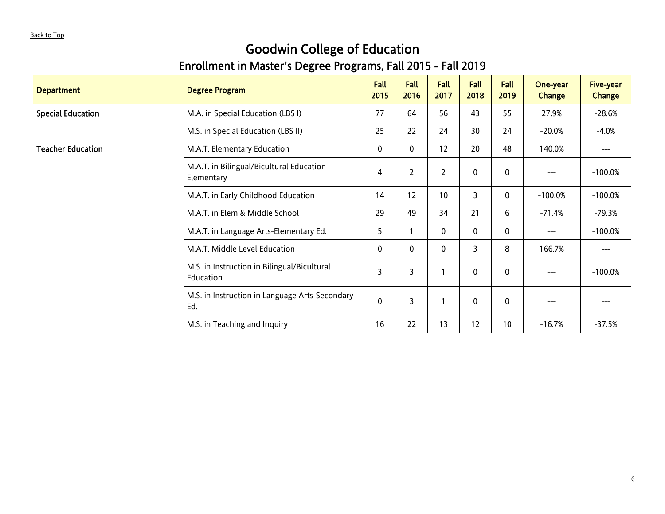#### Goodwin College of Education Enrollment in Master's Degree Programs, Fall 2015 - Fall 2019

| <b>Department</b>        | <b>Degree Program</b>                                    | Fall<br>2015 | <b>Fall</b><br>2016 | <b>Fall</b><br>2017 | Fall<br>2018 | <b>Fall</b><br>2019 | One-year<br><b>Change</b> | <b>Five-year</b><br><b>Change</b> |  |
|--------------------------|----------------------------------------------------------|--------------|---------------------|---------------------|--------------|---------------------|---------------------------|-----------------------------------|--|
| <b>Special Education</b> | M.A. in Special Education (LBS I)                        | 77           | 64                  | 56                  | 43           | 55                  | 27.9%                     | $-28.6%$                          |  |
|                          | M.S. in Special Education (LBS II)                       | 25           | 22                  | 24                  | 30           | 24                  | $-20.0%$                  | $-4.0%$                           |  |
| <b>Teacher Education</b> | M.A.T. Elementary Education                              | 0            | $\mathbf{0}$        | 12                  | 20           | 48                  | 140.0%                    | ---                               |  |
|                          | M.A.T. in Bilingual/Bicultural Education-<br>Elementary  | 4            | $\overline{2}$      | $\overline{2}$      | $\mathbf{0}$ | $\mathbf 0$         | ---                       | $-100.0%$                         |  |
|                          | M.A.T. in Early Childhood Education                      | 14           | 12                  | 10 <sup>°</sup>     | 3            | 0                   | $-100.0%$                 | $-100.0%$                         |  |
|                          | M.A.T. in Elem & Middle School                           | 29           | 49                  | 34                  | 21           | 6                   | -71.4%                    | $-79.3%$                          |  |
|                          | M.A.T. in Language Arts-Elementary Ed.                   | 5            | 1                   | 0                   | 0            | 0                   | ---                       | $-100.0%$                         |  |
|                          | M.A.T. Middle Level Education                            | $\mathbf 0$  | $\mathbf{0}$        | $\mathbf{0}$        | 3            | 8                   | 166.7%                    |                                   |  |
|                          | M.S. in Instruction in Bilingual/Bicultural<br>Education | 3            | 3                   | 1                   | $\mathbf{0}$ | $\mathbf{0}$        | ---                       | $-100.0%$                         |  |
|                          | M.S. in Instruction in Language Arts-Secondary<br>Ed.    | $\mathbf 0$  | 3                   | $\mathbf{1}$        | $\mathbf{0}$ | $\mathbf{0}$        |                           |                                   |  |
|                          | M.S. in Teaching and Inquiry                             | 16           | 22                  | 13                  | 12           | 10 <sup>°</sup>     | $-16.7%$                  | $-37.5%$                          |  |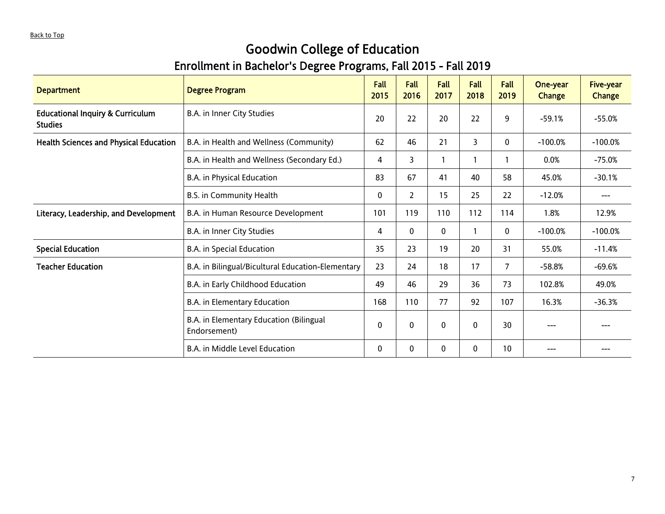# Goodwin College of Education

<span id="page-6-0"></span>

| <b>Department</b>                                             | <b>Degree Program</b>                                   | <b>Fall</b><br>2015 | <b>Fall</b><br>2016 | <b>Fall</b><br>2017 | Fall<br>2018 | <b>Fall</b><br>2019 | One-year<br><b>Change</b> | <b>Five-year</b><br><b>Change</b> |
|---------------------------------------------------------------|---------------------------------------------------------|---------------------|---------------------|---------------------|--------------|---------------------|---------------------------|-----------------------------------|
| <b>Educational Inquiry &amp; Curriculum</b><br><b>Studies</b> | B.A. in Inner City Studies                              | 20                  | 22                  | 20                  | 22           | 9                   | $-59.1%$                  | $-55.0%$                          |
| Health Sciences and Physical Education                        | B.A. in Health and Wellness (Community)                 | 62                  | 46                  | 21                  | 3            | $\mathbf{0}$        | $-100.0%$                 | $-100.0%$                         |
|                                                               | B.A. in Health and Wellness (Secondary Ed.)             | 4                   | 3                   | $\mathbf{1}$        |              |                     | 0.0%                      | $-75.0%$                          |
|                                                               | B.A. in Physical Education                              | 83                  | 67                  | 41                  | 40           | 58                  | 45.0%                     | $-30.1%$                          |
|                                                               | B.S. in Community Health                                | 0                   | $\overline{2}$      | 15                  | 25           | 22                  | $-12.0%$                  | $---$                             |
| Literacy, Leadership, and Development                         | B.A. in Human Resource Development                      | 101                 | 119                 | 110                 | 112          | 114                 | 1.8%                      | 12.9%                             |
|                                                               | B.A. in Inner City Studies                              | 4                   | $\mathbf{0}$        | $\mathbf{0}$        |              | $\mathbf{0}$        | $-100.0%$                 | $-100.0%$                         |
| <b>Special Education</b>                                      | B.A. in Special Education                               | 35                  | 23                  | 19                  | 20           | 31                  | 55.0%                     | $-11.4%$                          |
| <b>Teacher Education</b>                                      | B.A. in Bilingual/Bicultural Education-Elementary       | 23                  | 24                  | 18                  | 17           | 7                   | $-58.8%$                  | $-69.6%$                          |
|                                                               | B.A. in Early Childhood Education                       | 49                  | 46                  | 29                  | 36           | 73                  | 102.8%                    | 49.0%                             |
|                                                               | B.A. in Elementary Education                            | 168                 | 110                 | 77                  | 92           | 107                 | 16.3%                     | $-36.3%$                          |
|                                                               | B.A. in Elementary Education (Bilingual<br>Endorsement) | $\mathbf 0$         | $\mathbf 0$         | $\mathbf 0$         | 0            | 30                  |                           |                                   |
|                                                               | B.A. in Middle Level Education                          | $\mathbf{0}$        | $\mathbf{0}$        | $\mathbf{0}$        | $\mathbf{0}$ | 10                  | $- - -$                   |                                   |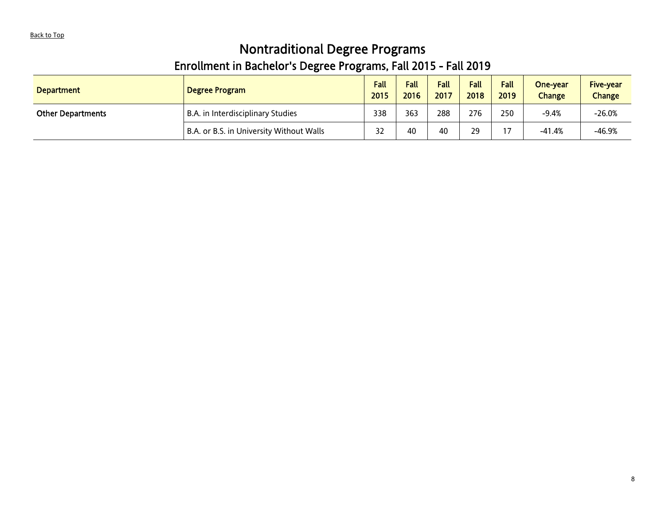# Nontraditional Degree Programs

<span id="page-7-0"></span>

| <b>Department</b>        | Degree Program                           | <b>Fall</b><br>2015 | <b>Fall</b><br>2016 | Fall<br>2017 | <b>Fall</b><br>2018 | <b>Fall</b><br>2019 | One-vear<br>Change | <b>Five-year</b><br><b>Change</b> |
|--------------------------|------------------------------------------|---------------------|---------------------|--------------|---------------------|---------------------|--------------------|-----------------------------------|
| <b>Other Departments</b> | B.A. in Interdisciplinary Studies        | 338                 | 363                 | 288          | 276                 | 250                 | $-9.4%$            | $-26.0%$                          |
|                          | B.A. or B.S. in University Without Walls | 32                  | 40                  | 40           | 29                  | 17                  | $-41.4%$           | $-46.9%$                          |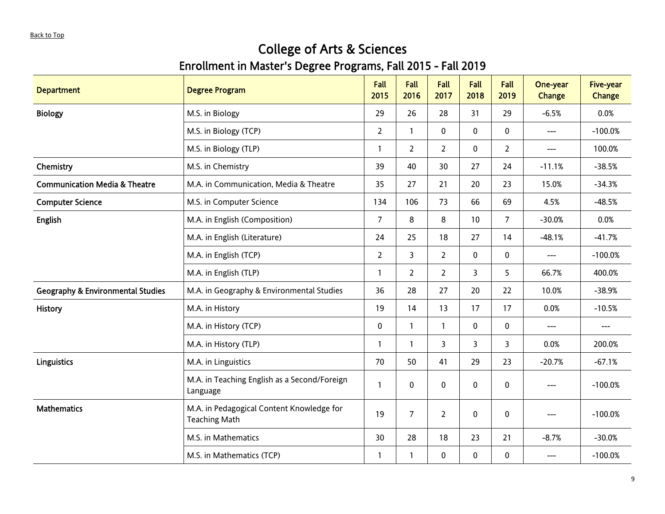#### College of Arts & Sciences Enrollment in Master's Degree Programs, Fall 2015 - Fall 2019

<span id="page-8-0"></span>

| <b>Department</b>                            | <b>Degree Program</b>                                             | Fall<br>2015   | Fall<br>2016   | Fall<br>2017   | <b>Fall</b><br>2018 | Fall<br>2019   | One-year<br><b>Change</b>  | <b>Five-year</b><br><b>Change</b> |
|----------------------------------------------|-------------------------------------------------------------------|----------------|----------------|----------------|---------------------|----------------|----------------------------|-----------------------------------|
| <b>Biology</b>                               | M.S. in Biology                                                   | 29             | 26             | 28             | 31                  | 29             | $-6.5%$                    | 0.0%                              |
|                                              | M.S. in Biology (TCP)                                             | $\overline{2}$ | $\mathbf{1}$   | 0              | 0                   | 0              | $\qquad \qquad -\qquad -$  | $-100.0%$                         |
|                                              | M.S. in Biology (TLP)                                             | $\mathbf{1}$   | $\overline{2}$ | $\overline{2}$ | 0                   | $\overline{2}$ | $\qquad \qquad -\qquad -$  | 100.0%                            |
| Chemistry                                    | M.S. in Chemistry                                                 | 39             | 40             | 30             | 27                  | 24             | $-11.1%$                   | $-38.5%$                          |
| <b>Communication Media &amp; Theatre</b>     | M.A. in Communication, Media & Theatre                            | 35             | 27             | 21             | 20                  | 23             | 15.0%                      | $-34.3%$                          |
| <b>Computer Science</b>                      | M.S. in Computer Science                                          | 134            | 106            | 73             | 66                  | 69             | 4.5%                       | $-48.5%$                          |
| <b>English</b>                               | M.A. in English (Composition)                                     | $\overline{7}$ | 8              | 8              | 10 <sup>°</sup>     | $\overline{7}$ | $-30.0%$                   | 0.0%                              |
|                                              | M.A. in English (Literature)                                      | 24             | 25             | 18             | 27                  | 14             | $-48.1%$                   | $-41.7%$                          |
|                                              | M.A. in English (TCP)                                             | $\overline{2}$ | 3              | $\overline{2}$ | 0                   | 0              | $---$                      | $-100.0%$                         |
|                                              | M.A. in English (TLP)                                             | $\mathbf{1}$   | $\overline{2}$ | $\overline{2}$ | 3                   | 5              | 66.7%                      | 400.0%                            |
| <b>Geography &amp; Environmental Studies</b> | M.A. in Geography & Environmental Studies                         | 36             | 28             | 27             | 20                  | 22             | 10.0%                      | $-38.9%$                          |
| <b>History</b>                               | M.A. in History                                                   | 19             | 14             | 13             | 17                  | 17             | 0.0%                       | $-10.5%$                          |
|                                              | M.A. in History (TCP)                                             | 0              | $\mathbf{1}$   | $\mathbf{1}$   | 0                   | 0              | $\qquad \qquad \text{---}$ | $\qquad \qquad -\qquad -$         |
|                                              | M.A. in History (TLP)                                             | $\mathbf{1}$   | $\mathbf{1}$   | 3              | 3                   | 3              | 0.0%                       | 200.0%                            |
| Linguistics                                  | M.A. in Linguistics                                               | 70             | 50             | 41             | 29                  | 23             | $-20.7%$                   | $-67.1%$                          |
|                                              | M.A. in Teaching English as a Second/Foreign<br>Language          | $\mathbf{1}$   | 0              | 0              | 0                   | 0              |                            | $-100.0%$                         |
| <b>Mathematics</b>                           | M.A. in Pedagogical Content Knowledge for<br><b>Teaching Math</b> | 19             | $\overline{7}$ | $\overline{2}$ | 0                   | $\mathbf{0}$   |                            | $-100.0%$                         |
|                                              | M.S. in Mathematics                                               | 30             | 28             | 18             | 23                  | 21             | $-8.7%$                    | $-30.0%$                          |
|                                              | M.S. in Mathematics (TCP)                                         | $\mathbf{1}$   | $\mathbf{1}$   | 0              | 0                   | 0              | ---                        | $-100.0%$                         |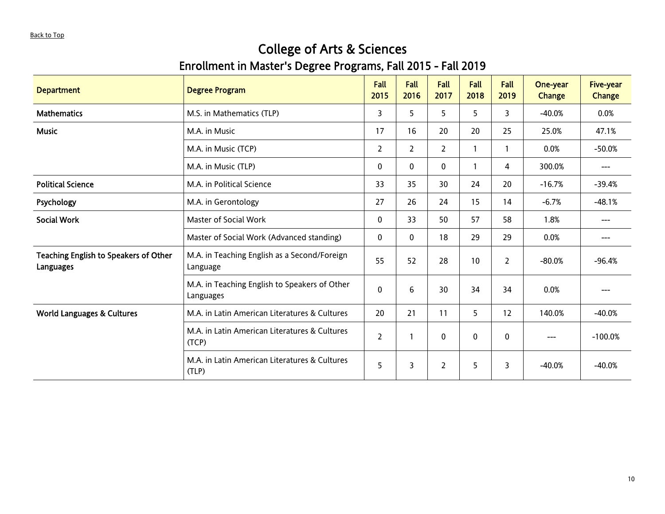#### College of Arts & Sciences Enrollment in Master's Degree Programs, Fall 2015 - Fall 2019

| <b>Department</b>                                         | <b>Degree Program</b>                                      | <b>Fall</b><br>2015 | <b>Fall</b><br>2016 | <b>Fall</b><br>2017 | Fall<br>2018 | <b>Fall</b><br>2019 | One-year<br><b>Change</b> | <b>Five-year</b><br><b>Change</b>     |
|-----------------------------------------------------------|------------------------------------------------------------|---------------------|---------------------|---------------------|--------------|---------------------|---------------------------|---------------------------------------|
| <b>Mathematics</b>                                        | M.S. in Mathematics (TLP)                                  | 3                   | 5                   | 5                   | 5            | 3                   | $-40.0%$                  | 0.0%                                  |
| <b>Music</b>                                              | M.A. in Music                                              | 17                  | 16                  | 20                  | 20           | 25                  | 25.0%                     | 47.1%                                 |
|                                                           | M.A. in Music (TCP)                                        | $\overline{2}$      | $\overline{2}$      | $\overline{2}$      | $\mathbf{1}$ |                     | 0.0%                      | $-50.0%$                              |
|                                                           | M.A. in Music (TLP)                                        | $\mathbf{0}$        | $\mathbf{0}$        | $\mathbf{0}$        | $\mathbf{1}$ | 4                   | 300.0%                    | $\qquad \qquad \qquad -\qquad \qquad$ |
| <b>Political Science</b>                                  | M.A. in Political Science                                  | 33                  | 35                  | 30                  | 24           | 20                  | $-16.7%$                  | $-39.4%$                              |
| Psychology                                                | M.A. in Gerontology                                        | 27                  | 26                  | 24                  | 15           | 14                  | $-6.7%$                   | $-48.1%$                              |
| <b>Social Work</b>                                        | Master of Social Work                                      | 0                   | 33                  | 50                  | 57           | 58                  | 1.8%                      | $---$                                 |
|                                                           | Master of Social Work (Advanced standing)                  | $\mathbf{0}$        | $\mathbf{0}$        | 18                  | 29           | 29                  | 0.0%                      | $---$                                 |
| Teaching English to Speakers of Other<br><b>Languages</b> | M.A. in Teaching English as a Second/Foreign<br>Language   | 55                  | 52                  | 28                  | 10           | $\overline{2}$      | $-80.0%$                  | $-96.4%$                              |
|                                                           | M.A. in Teaching English to Speakers of Other<br>Languages | $\mathbf 0$         | 6                   | 30                  | 34           | 34                  | 0.0%                      |                                       |
| <b>World Languages &amp; Cultures</b>                     | M.A. in Latin American Literatures & Cultures              | 20                  | 21                  | 11                  | 5            | 12                  | 140.0%                    | $-40.0%$                              |
|                                                           | M.A. in Latin American Literatures & Cultures<br>(TCP)     | $\overline{2}$      | $\mathbf{1}$        | $\mathbf 0$         | 0            | $\mathbf 0$         |                           | $-100.0%$                             |
|                                                           | M.A. in Latin American Literatures & Cultures<br>(TLP)     | 5                   | 3                   | $\overline{2}$      | 5            | 3                   | $-40.0%$                  | $-40.0%$                              |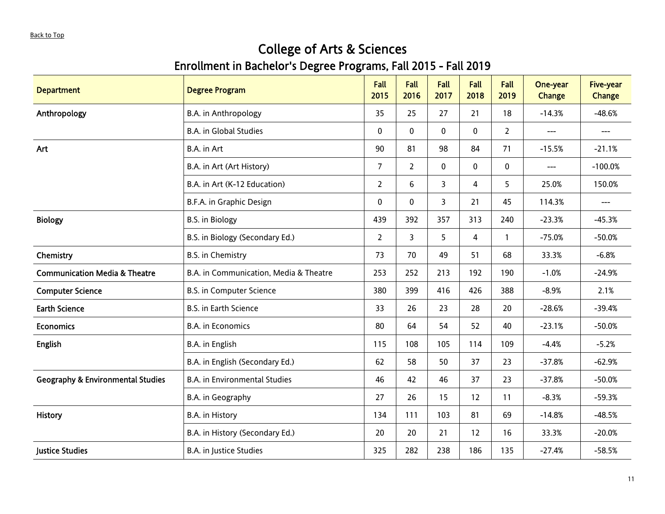# College of Arts & Sciences

<span id="page-10-0"></span>

| <b>Department</b>                            | <b>Degree Program</b>                  | Fall<br>2015   | Fall<br>2016   | Fall<br>2017   | Fall<br>2018 | Fall<br>2019   | One-year<br><b>Change</b> | <b>Five-year</b><br><b>Change</b> |
|----------------------------------------------|----------------------------------------|----------------|----------------|----------------|--------------|----------------|---------------------------|-----------------------------------|
| Anthropology                                 | B.A. in Anthropology                   | 35             | 25             | 27             | 21           | 18             | $-14.3%$                  | $-48.6%$                          |
|                                              | <b>B.A.</b> in Global Studies          | $\mathbf{0}$   | $\mathbf{0}$   | $\mathbf{0}$   | $\mathbf{0}$ | $\overline{2}$ | $---$                     | $---$                             |
| Art                                          | B.A. in Art                            | 90             | 81             | 98             | 84           | 71             | $-15.5%$                  | $-21.1%$                          |
|                                              | B.A. in Art (Art History)              | $\overline{7}$ | $\overline{2}$ | $\mathbf 0$    | $\mathbf 0$  | $\mathbf 0$    | $---$                     | $-100.0%$                         |
|                                              | B.A. in Art (K-12 Education)           | $\overline{2}$ | 6              | $\overline{3}$ | 4            | 5              | 25.0%                     | 150.0%                            |
|                                              | B.F.A. in Graphic Design               | $\mathbf 0$    | 0              | 3              | 21           | 45             | 114.3%                    | $---$                             |
| <b>Biology</b>                               | B.S. in Biology                        | 439            | 392            | 357            | 313          | 240            | $-23.3%$                  | $-45.3%$                          |
|                                              | B.S. in Biology (Secondary Ed.)        | $\overline{2}$ | 3              | 5              | 4            | $\mathbf{1}$   | $-75.0%$                  | $-50.0%$                          |
| Chemistry                                    | B.S. in Chemistry                      | 73             | 70             | 49             | 51           | 68             | 33.3%                     | $-6.8%$                           |
| <b>Communication Media &amp; Theatre</b>     | B.A. in Communication, Media & Theatre | 253            | 252            | 213            | 192          | 190            | $-1.0%$                   | $-24.9%$                          |
| <b>Computer Science</b>                      | B.S. in Computer Science               | 380            | 399            | 416            | 426          | 388            | $-8.9%$                   | 2.1%                              |
| <b>Earth Science</b>                         | B.S. in Earth Science                  | 33             | 26             | 23             | 28           | 20             | $-28.6%$                  | $-39.4%$                          |
| <b>Economics</b>                             | <b>B.A.</b> in Economics               | 80             | 64             | 54             | 52           | 40             | $-23.1%$                  | $-50.0%$                          |
| <b>English</b>                               | B.A. in English                        | 115            | 108            | 105            | 114          | 109            | $-4.4%$                   | $-5.2%$                           |
|                                              | B.A. in English (Secondary Ed.)        | 62             | 58             | 50             | 37           | 23             | $-37.8%$                  | $-62.9%$                          |
| <b>Geography &amp; Environmental Studies</b> | <b>B.A.</b> in Environmental Studies   | 46             | 42             | 46             | 37           | 23             | $-37.8%$                  | $-50.0%$                          |
|                                              | B.A. in Geography                      | 27             | 26             | 15             | 12           | 11             | $-8.3%$                   | $-59.3%$                          |
| <b>History</b>                               | B.A. in History                        | 134            | 111            | 103            | 81           | 69             | $-14.8%$                  | $-48.5%$                          |
|                                              | B.A. in History (Secondary Ed.)        | 20             | 20             | 21             | 12           | 16             | 33.3%                     | $-20.0%$                          |
| Justice Studies                              | B.A. in Justice Studies                | 325            | 282            | 238            | 186          | 135            | $-27.4%$                  | $-58.5%$                          |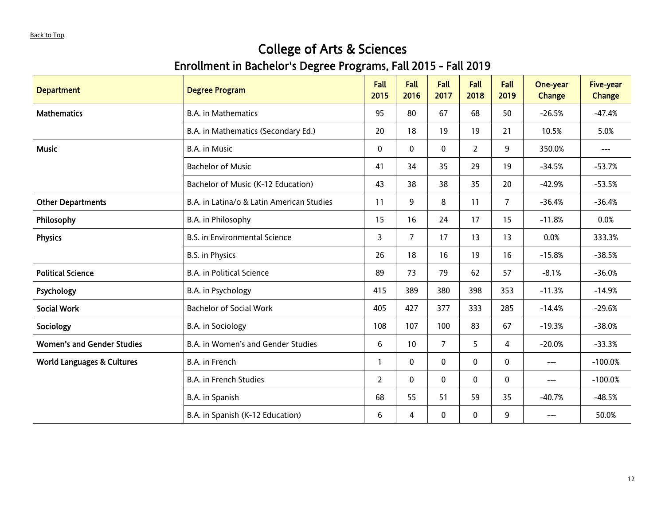# College of Arts & Sciences

| <b>Department</b>                     | <b>Degree Program</b>                     | <b>Fall</b><br>2015 | <b>Fall</b><br>2016 | <b>Fall</b><br>2017 | <b>Fall</b><br>2018 | Fall<br>2019   | One-year<br><b>Change</b>    | <b>Five-year</b><br><b>Change</b> |
|---------------------------------------|-------------------------------------------|---------------------|---------------------|---------------------|---------------------|----------------|------------------------------|-----------------------------------|
| <b>Mathematics</b>                    | <b>B.A.</b> in Mathematics                | 95                  | 80                  | 67                  | 68                  | 50             | $-26.5%$                     | $-47.4%$                          |
|                                       | B.A. in Mathematics (Secondary Ed.)       | 20                  | 18                  | 19                  | 19                  | 21             | 10.5%                        | 5.0%                              |
| <b>Music</b>                          | B.A. in Music                             | $\mathbf 0$         | $\mathbf 0$         | $\mathbf{0}$        | $\overline{2}$      | 9              | 350.0%                       | ---                               |
|                                       | <b>Bachelor of Music</b>                  | 41                  | 34                  | 35                  | 29                  | 19             | $-34.5%$                     | $-53.7%$                          |
|                                       | Bachelor of Music (K-12 Education)        | 43                  | 38                  | 38                  | 35                  | 20             | $-42.9%$                     | $-53.5%$                          |
| <b>Other Departments</b>              | B.A. in Latina/o & Latin American Studies | 11                  | 9                   | 8                   | 11                  | $\overline{7}$ | $-36.4%$                     | $-36.4%$                          |
| Philosophy                            | B.A. in Philosophy                        | 15                  | 16                  | 24                  | 17                  | 15             | $-11.8%$                     | 0.0%                              |
| <b>Physics</b>                        | <b>B.S. in Environmental Science</b>      | 3                   | $\overline{7}$      | 17                  | 13                  | 13             | 0.0%                         | 333.3%                            |
|                                       | B.S. in Physics                           | 26                  | 18                  | 16                  | 19                  | 16             | $-15.8%$                     | $-38.5%$                          |
| <b>Political Science</b>              | <b>B.A.</b> in Political Science          | 89                  | 73                  | 79                  | 62                  | 57             | $-8.1%$                      | $-36.0%$                          |
| Psychology                            | B.A. in Psychology                        | 415                 | 389                 | 380                 | 398                 | 353            | $-11.3%$                     | $-14.9%$                          |
| <b>Social Work</b>                    | <b>Bachelor of Social Work</b>            | 405                 | 427                 | 377                 | 333                 | 285            | $-14.4%$                     | $-29.6%$                          |
| Sociology                             | B.A. in Sociology                         | 108                 | 107                 | 100                 | 83                  | 67             | $-19.3%$                     | $-38.0%$                          |
| <b>Women's and Gender Studies</b>     | B.A. in Women's and Gender Studies        | 6                   | 10 <sup>°</sup>     | 7                   | 5                   | 4              | $-20.0%$                     | $-33.3%$                          |
| <b>World Languages &amp; Cultures</b> | B.A. in French                            | $\mathbf{1}$        | $\mathbf{0}$        | $\mathbf{0}$        | $\mathbf{0}$        | $\mathbf{0}$   | $\qquad \qquad \textbf{---}$ | $-100.0%$                         |
|                                       | <b>B.A. in French Studies</b>             | $\overline{2}$      | $\Omega$            | $\Omega$            | $\Omega$            | $\mathbf 0$    | $\qquad \qquad \text{---}$   | $-100.0%$                         |
|                                       | B.A. in Spanish                           | 68                  | 55                  | 51                  | 59                  | 35             | $-40.7%$                     | $-48.5%$                          |
|                                       | B.A. in Spanish (K-12 Education)          | 6                   | 4                   | $\mathbf{0}$        | $\mathbf{0}$        | 9              | $---$                        | 50.0%                             |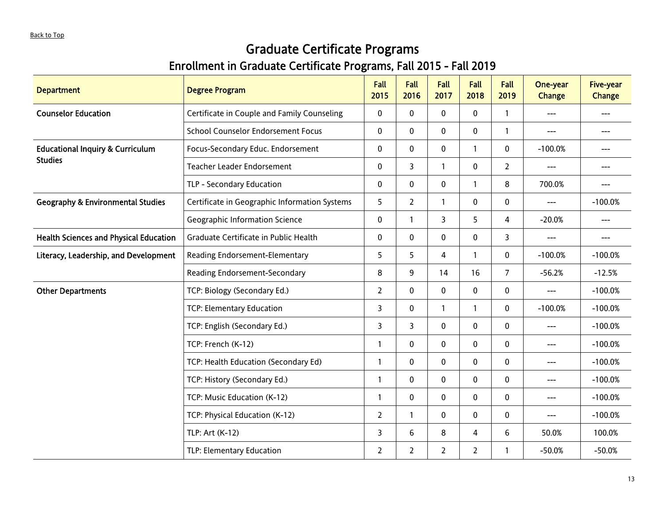# Graduate Certificate Programs

### Enrollment in Graduate Certificate Programs, Fall 2015 - Fall 2019

<span id="page-12-0"></span>

| <b>Department</b>                             | <b>Degree Program</b>                         | <b>Fall</b><br>2015 | Fall<br>2016   | <b>Fall</b><br>2017 | <b>Fall</b><br>2018 | Fall<br>2019   | <b>One-year</b><br><b>Change</b>    | <b>Five-year</b><br><b>Change</b> |
|-----------------------------------------------|-----------------------------------------------|---------------------|----------------|---------------------|---------------------|----------------|-------------------------------------|-----------------------------------|
| <b>Counselor Education</b>                    | Certificate in Couple and Family Counseling   | $\mathbf 0$         | $\mathbf 0$    | $\mathbf 0$         | $\mathbf 0$         | $\mathbf{1}$   | ---                                 | ---                               |
|                                               | <b>School Counselor Endorsement Focus</b>     | 0                   | $\mathbf{0}$   | $\mathbf{0}$        | $\mathbf{0}$        | $\mathbf{1}$   | $---$                               | ---                               |
| <b>Educational Inquiry &amp; Curriculum</b>   | Focus-Secondary Educ. Endorsement             | 0                   | 0              | 0                   | $\mathbf{1}$        | 0              | $-100.0%$                           | ---                               |
| <b>Studies</b>                                | Teacher Leader Endorsement                    | $\mathbf{0}$        | 3              | $\mathbf{1}$        | $\mathbf{0}$        | $\overline{2}$ | $\qquad \qquad \text{---}$          | ---                               |
|                                               | TLP - Secondary Education                     | $\mathbf{0}$        | $\mathbf 0$    | $\mathbf 0$         | $\mathbf{1}$        | 8              | 700.0%                              | ---                               |
| <b>Geography &amp; Environmental Studies</b>  | Certificate in Geographic Information Systems | 5                   | $\overline{2}$ | $\mathbf{1}$        | $\mathbf 0$         | 0              | $\hspace{0.05cm}---\hspace{0.05cm}$ | $-100.0%$                         |
|                                               | Geographic Information Science                | 0                   | $\mathbf{1}$   | 3                   | 5                   | 4              | $-20.0%$                            | $---$                             |
| <b>Health Sciences and Physical Education</b> | Graduate Certificate in Public Health         | $\mathbf 0$         | $\Omega$       | $\Omega$            | $\mathbf 0$         | 3              | $---$                               | ---                               |
| Literacy, Leadership, and Development         | Reading Endorsement-Elementary                | 5                   | 5              | 4                   | $\mathbf{1}$        | $\mathbf 0$    | $-100.0%$                           | $-100.0%$                         |
|                                               | Reading Endorsement-Secondary                 | 8                   | 9              | 14                  | 16                  | $\overline{7}$ | $-56.2%$                            | $-12.5%$                          |
| <b>Other Departments</b>                      | TCP: Biology (Secondary Ed.)                  | $\overline{2}$      | 0              | 0                   | $\mathbf 0$         | 0              | $\qquad \qquad -\qquad -$           | $-100.0%$                         |
|                                               | TCP: Elementary Education                     | 3                   | $\mathbf{0}$   | $\mathbf{1}$        | $\mathbf{1}$        | $\mathbf{0}$   | $-100.0%$                           | $-100.0%$                         |
|                                               | TCP: English (Secondary Ed.)                  | 3                   | 3              | $\mathbf 0$         | $\mathbf 0$         | $\mathbf 0$    | $\qquad \qquad -\qquad -$           | $-100.0%$                         |
|                                               | TCP: French (K-12)                            | $\mathbf{1}$        | $\mathbf 0$    | $\mathbf 0$         | $\mathbf 0$         | 0              | $\hspace{0.05cm}---\hspace{0.05cm}$ | $-100.0%$                         |
|                                               | TCP: Health Education (Secondary Ed)          | $\mathbf{1}$        | $\mathbf{0}$   | $\mathbf 0$         | $\mathbf 0$         | $\mathbf 0$    | $\qquad \qquad -\qquad -$           | $-100.0%$                         |
|                                               | TCP: History (Secondary Ed.)                  | $\mathbf{1}$        | $\mathbf{0}$   | $\mathbf{0}$        | $\Omega$            | $\mathbf 0$    | $---$                               | $-100.0%$                         |
|                                               | TCP: Music Education (K-12)                   | $\mathbf{1}$        | $\mathbf 0$    | $\mathbf 0$         | $\mathbf 0$         | $\mathbf 0$    | $---$                               | $-100.0%$                         |
|                                               | TCP: Physical Education (K-12)                | $\overline{2}$      | $\mathbf{1}$   | $\mathbf{0}$        | $\mathbf{0}$        | $\mathbf{0}$   | ---                                 | $-100.0%$                         |
|                                               | TLP: Art (K-12)                               | 3                   | 6              | 8                   | 4                   | 6              | 50.0%                               | 100.0%                            |
|                                               | TLP: Elementary Education                     | $\overline{2}$      | $\overline{2}$ | $\overline{2}$      | $\overline{2}$      | 1              | $-50.0%$                            | $-50.0%$                          |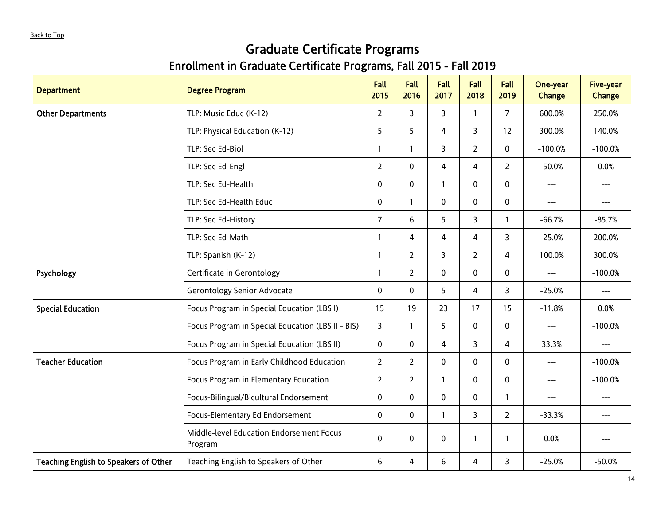# Graduate Certificate Programs

# Enrollment in Graduate Certificate Programs, Fall 2015 - Fall 2019

| <b>Department</b>                     | <b>Degree Program</b>                               | Fall<br>2015   | Fall<br>2016   | <b>Fall</b><br>2017 | Fall<br>2018   | Fall<br>2019   | One-year<br><b>Change</b>           | <b>Five-year</b><br><b>Change</b>   |
|---------------------------------------|-----------------------------------------------------|----------------|----------------|---------------------|----------------|----------------|-------------------------------------|-------------------------------------|
| <b>Other Departments</b>              | TLP: Music Educ (K-12)                              | $\overline{2}$ | 3              | $\overline{3}$      | $\mathbf{1}$   | $\overline{7}$ | 600.0%                              | 250.0%                              |
|                                       | TLP: Physical Education (K-12)                      | 5              | 5              | 4                   | 3              | 12             | 300.0%                              | 140.0%                              |
|                                       | TLP: Sec Ed-Biol                                    | $\mathbf{1}$   | $\overline{1}$ | $\overline{3}$      | $\overline{2}$ | $\mathbf 0$    | $-100.0%$                           | $-100.0%$                           |
|                                       | TLP: Sec Ed-Engl                                    | $\overline{2}$ | $\mathbf 0$    | 4                   | 4              | $\overline{2}$ | $-50.0%$                            | 0.0%                                |
|                                       | TLP: Sec Ed-Health                                  | $\mathbf 0$    | $\mathbf 0$    | $\mathbf{1}$        | $\mathbf 0$    | $\mathbf 0$    | $---$                               | $\qquad \qquad \text{---}$          |
|                                       | TLP: Sec Ed-Health Educ                             | 0              | $\mathbf{1}$   | $\mathbf 0$         | $\mathbf 0$    | $\mathbf 0$    | $\hspace{0.05cm}---\hspace{0.05cm}$ | $\qquad \qquad \textbf{---}$        |
|                                       | TLP: Sec Ed-History                                 | $\overline{7}$ | 6              | 5                   | $\overline{3}$ | $\mathbf{1}$   | $-66.7%$                            | $-85.7%$                            |
|                                       | TLP: Sec Ed-Math                                    | $\mathbf{1}$   | 4              | 4                   | 4              | 3              | $-25.0%$                            | 200.0%                              |
|                                       | TLP: Spanish (K-12)                                 | $\mathbf{1}$   | $\overline{2}$ | $\overline{3}$      | $\overline{2}$ | 4              | 100.0%                              | 300.0%                              |
| Psychology                            | Certificate in Gerontology                          | $\mathbf{1}$   | $\overline{2}$ | $\mathbf{0}$        | $\mathbf 0$    | 0              | $---$                               | $-100.0%$                           |
|                                       | <b>Gerontology Senior Advocate</b>                  | $\mathbf 0$    | 0              | 5                   | 4              | 3              | $-25.0%$                            | $\qquad \qquad \text{---}$          |
| <b>Special Education</b>              | Focus Program in Special Education (LBS I)          | 15             | 19             | 23                  | 17             | 15             | $-11.8%$                            | 0.0%                                |
|                                       | Focus Program in Special Education (LBS II - BIS)   | 3              | $\mathbf{1}$   | 5                   | $\mathbf 0$    | 0              | $---$                               | $-100.0%$                           |
|                                       | Focus Program in Special Education (LBS II)         | $\mathbf{0}$   | $\mathbf{0}$   | 4                   | 3              | 4              | 33.3%                               | $\qquad \qquad \text{---}$          |
| <b>Teacher Education</b>              | Focus Program in Early Childhood Education          | $\overline{2}$ | $\overline{2}$ | $\mathbf 0$         | $\mathbf 0$    | 0              | $\hspace{0.05cm}---\hspace{0.05cm}$ | $-100.0%$                           |
|                                       | Focus Program in Elementary Education               | $\overline{2}$ | $\overline{2}$ | $\mathbf{1}$        | $\mathbf 0$    | $\mathbf 0$    | $\qquad \qquad \text{---}$          | $-100.0%$                           |
|                                       | Focus-Bilingual/Bicultural Endorsement              | 0              | $\mathbf{0}$   | $\mathbf 0$         | $\mathbf{0}$   | $\mathbf{1}$   | $---$                               | $\qquad \qquad \text{---}$          |
|                                       | Focus-Elementary Ed Endorsement                     | $\mathbf 0$    | $\mathbf 0$    | $\mathbf{1}$        | 3              | $\overline{2}$ | $-33.3%$                            | $\hspace{0.05cm}---\hspace{0.05cm}$ |
|                                       | Middle-level Education Endorsement Focus<br>Program | $\mathbf 0$    | $\mathbf 0$    | $\mathbf 0$         | $\mathbf{1}$   | $\mathbf{1}$   | 0.0%                                | $---$                               |
| Teaching English to Speakers of Other | Teaching English to Speakers of Other               | 6              | 4              | 6                   | 4              | 3              | $-25.0%$                            | $-50.0%$                            |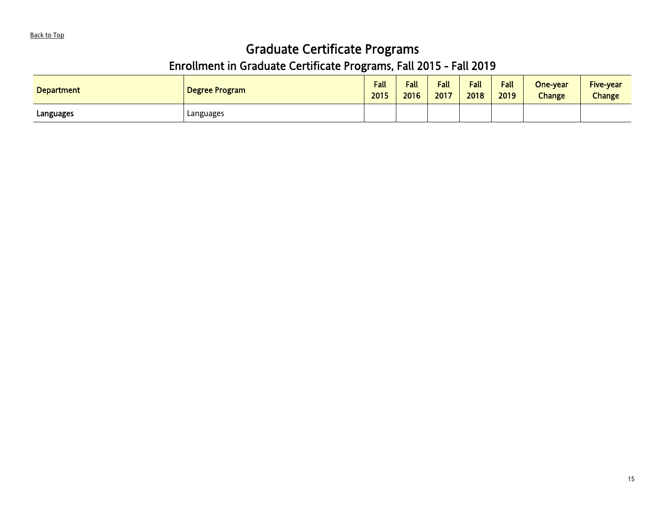# Graduate Certificate Programs

# Enrollment in Graduate Certificate Programs, Fall 2015 - Fall 2019

| <b>Department</b> | Degree Program | <b>Fall</b><br>2015 | <b>Fall</b><br>2016 | <b>Fall</b><br>2017 | <b>Fall</b><br>2018 | <b>Fall</b><br>2019 | One-year<br><b>Change</b> | <b>Five-year</b><br><b>Change</b> |
|-------------------|----------------|---------------------|---------------------|---------------------|---------------------|---------------------|---------------------------|-----------------------------------|
| Languages         | Languages      |                     |                     |                     |                     |                     |                           |                                   |